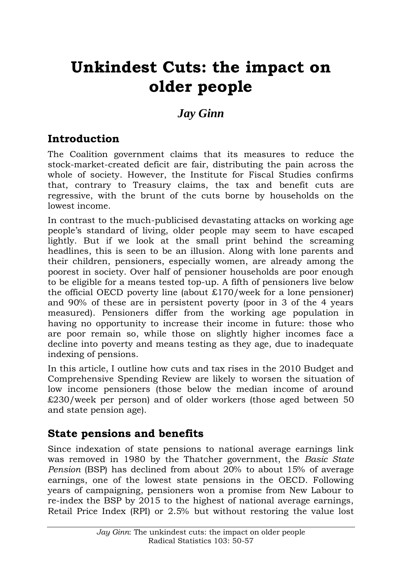# **Unkindest Cuts: the impact on older people**

# *Jay Ginn*

## **Introduction**

The Coalition government claims that its measures to reduce the stock-market-created deficit are fair, distributing the pain across the whole of society. However, the Institute for Fiscal Studies confirms that, contrary to Treasury claims, the tax and benefit cuts are regressive, with the brunt of the cuts borne by households on the lowest income.

In contrast to the much-publicised devastating attacks on working age people"s standard of living, older people may seem to have escaped lightly. But if we look at the small print behind the screaming headlines, this is seen to be an illusion. Along with lone parents and their children, pensioners, especially women, are already among the poorest in society. Over half of pensioner households are poor enough to be eligible for a means tested top-up. A fifth of pensioners live below the official OECD poverty line (about  $\pounds$ 170/week for a lone pensioner) and 90% of these are in persistent poverty (poor in 3 of the 4 years measured). Pensioners differ from the working age population in having no opportunity to increase their income in future: those who are poor remain so, while those on slightly higher incomes face a decline into poverty and means testing as they age, due to inadequate indexing of pensions.

In this article, I outline how cuts and tax rises in the 2010 Budget and Comprehensive Spending Review are likely to worsen the situation of low income pensioners (those below the median income of around £230/week per person) and of older workers (those aged between 50 and state pension age).

#### **State pensions and benefits**

Since indexation of state pensions to national average earnings link was removed in 1980 by the Thatcher government, the *Basic State Pension* (BSP) has declined from about 20% to about 15% of average earnings, one of the lowest state pensions in the OECD. Following years of campaigning, pensioners won a promise from New Labour to re-index the BSP by 2015 to the highest of national average earnings, Retail Price Index (RPI) or 2.5% but without restoring the value lost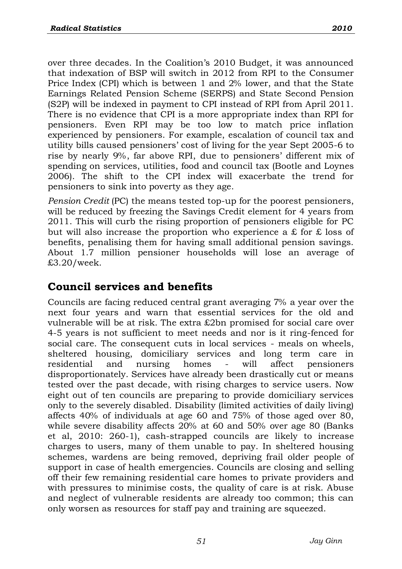over three decades. In the Coalition's 2010 Budget, it was announced that indexation of BSP will switch in 2012 from RPI to the Consumer Price Index (CPI) which is between 1 and 2% lower, and that the State Earnings Related Pension Scheme (SERPS) and State Second Pension (S2P) will be indexed in payment to CPI instead of RPI from April 2011. There is no evidence that CPI is a more appropriate index than RPI for pensioners. Even RPI may be too low to match price inflation experienced by pensioners. For example, escalation of council tax and utility bills caused pensioners" cost of living for the year Sept 2005-6 to rise by nearly 9%, far above RPI, due to pensioners' different mix of spending on services, utilities, food and council tax (Bootle and Loynes 2006). The shift to the CPI index will exacerbate the trend for pensioners to sink into poverty as they age.

*Pension Credit* (PC) the means tested top-up for the poorest pensioners, will be reduced by freezing the Savings Credit element for 4 years from 2011. This will curb the rising proportion of pensioners eligible for PC but will also increase the proportion who experience a £ for £ loss of benefits, penalising them for having small additional pension savings. About 1.7 million pensioner households will lose an average of £3.20/week.

#### **Council services and benefits**

Councils are facing reduced central grant averaging 7% a year over the next four years and warn that essential services for the old and vulnerable will be at risk. The extra £2bn promised for social care over 4-5 years is not sufficient to meet needs and nor is it ring-fenced for social care. The consequent cuts in local services - meals on wheels, sheltered housing, domiciliary services and long term care in residential and nursing homes - will affect pensioners disproportionately. Services have already been drastically cut or means tested over the past decade, with rising charges to service users. Now eight out of ten councils are preparing to provide domiciliary services only to the severely disabled. Disability (limited activities of daily living) affects 40% of individuals at age 60 and 75% of those aged over 80, while severe disability affects 20% at 60 and 50% over age 80 (Banks et al, 2010: 260-1), cash-strapped councils are likely to increase charges to users, many of them unable to pay. In sheltered housing schemes, wardens are being removed, depriving frail older people of support in case of health emergencies. Councils are closing and selling off their few remaining residential care homes to private providers and with pressures to minimise costs, the quality of care is at risk. Abuse and neglect of vulnerable residents are already too common; this can only worsen as resources for staff pay and training are squeezed.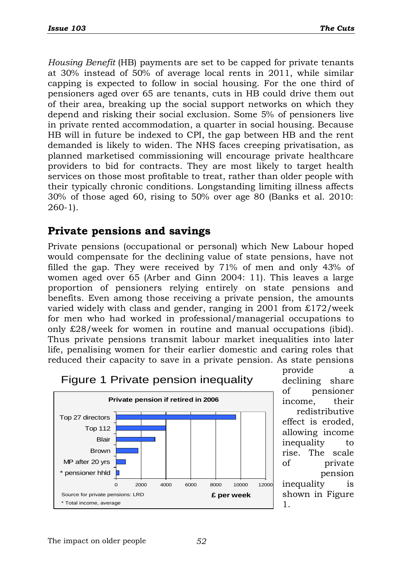*Housing Benefit* (HB) payments are set to be capped for private tenants at 30% instead of 50% of average local rents in 2011, while similar capping is expected to follow in social housing. For the one third of pensioners aged over 65 are tenants, cuts in HB could drive them out of their area, breaking up the social support networks on which they depend and risking their social exclusion. Some 5% of pensioners live in private rented accommodation, a quarter in social housing. Because HB will in future be indexed to CPI, the gap between HB and the rent demanded is likely to widen. The NHS faces creeping privatisation, as planned marketised commissioning will encourage private healthcare providers to bid for contracts. They are most likely to target health services on those most profitable to treat, rather than older people with their typically chronic conditions. Longstanding limiting illness affects 30% of those aged 60, rising to 50% over age 80 (Banks et al. 2010: 260-1).

#### **Private pensions and savings**

Private pensions (occupational or personal) which New Labour hoped would compensate for the declining value of state pensions, have not filled the gap. They were received by 71% of men and only 43% of women aged over 65 (Arber and Ginn 2004: 11). This leaves a large proportion of pensioners relying entirely on state pensions and benefits. Even among those receiving a private pension, the amounts varied widely with class and gender, ranging in 2001 from £172/week for men who had worked in professional/managerial occupations to only £28/week for women in routine and manual occupations (ibid). Thus private pensions transmit labour market inequalities into later life, penalising women for their earlier domestic and caring roles that reduced their capacity to save in a private pension. As state pensions



provide a declining share of pensioner income, their redistributive effect is eroded, allowing income inequality to rise. The scale of private pension inequality is shown in Figure

1.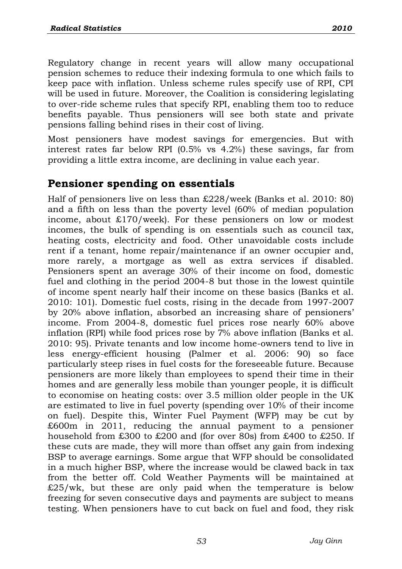Regulatory change in recent years will allow many occupational pension schemes to reduce their indexing formula to one which fails to keep pace with inflation. Unless scheme rules specify use of RPI, CPI will be used in future. Moreover, the Coalition is considering legislating to over-ride scheme rules that specify RPI, enabling them too to reduce benefits payable. Thus pensioners will see both state and private pensions falling behind rises in their cost of living.

Most pensioners have modest savings for emergencies. But with interest rates far below RPI (0.5% vs 4.2%) these savings, far from providing a little extra income, are declining in value each year.

#### **Pensioner spending on essentials**

Half of pensioners live on less than £228/week (Banks et al. 2010: 80) and a fifth on less than the poverty level (60% of median population income, about £170/week). For these pensioners on low or modest incomes, the bulk of spending is on essentials such as council tax, heating costs, electricity and food. Other unavoidable costs include rent if a tenant, home repair/maintenance if an owner occupier and, more rarely, a mortgage as well as extra services if disabled. Pensioners spent an average 30% of their income on food, domestic fuel and clothing in the period 2004-8 but those in the lowest quintile of income spent nearly half their income on these basics (Banks et al. 2010: 101). Domestic fuel costs, rising in the decade from 1997-2007 by 20% above inflation, absorbed an increasing share of pensioners" income. From 2004-8, domestic fuel prices rose nearly 60% above inflation (RPI) while food prices rose by 7% above inflation (Banks et al. 2010: 95). Private tenants and low income home-owners tend to live in less energy-efficient housing (Palmer et al. 2006: 90) so face particularly steep rises in fuel costs for the foreseeable future. Because pensioners are more likely than employees to spend their time in their homes and are generally less mobile than younger people, it is difficult to economise on heating costs: over 3.5 million older people in the UK are estimated to live in fuel poverty (spending over 10% of their income on fuel). Despite this, Winter Fuel Payment (WFP) may be cut by £600m in 2011, reducing the annual payment to a pensioner household from £300 to £200 and (for over 80s) from £400 to £250. If these cuts are made, they will more than offset any gain from indexing BSP to average earnings. Some argue that WFP should be consolidated in a much higher BSP, where the increase would be clawed back in tax from the better off. Cold Weather Payments will be maintained at  $£25/wk$ , but these are only paid when the temperature is below freezing for seven consecutive days and payments are subject to means testing. When pensioners have to cut back on fuel and food, they risk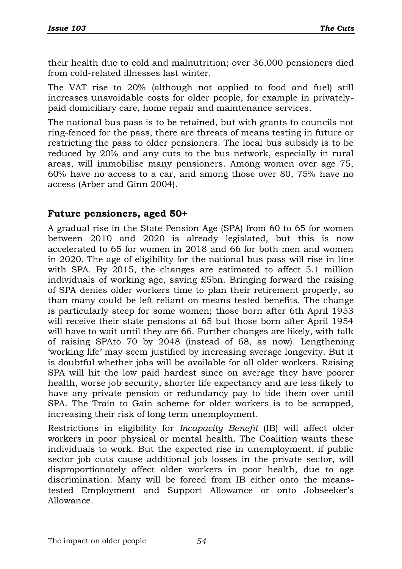their health due to cold and malnutrition; over 36,000 pensioners died from cold-related illnesses last winter.

The VAT rise to 20% (although not applied to food and fuel) still increases unavoidable costs for older people, for example in privatelypaid domiciliary care, home repair and maintenance services.

The national bus pass is to be retained, but with grants to councils not ring-fenced for the pass, there are threats of means testing in future or restricting the pass to older pensioners. The local bus subsidy is to be reduced by 20% and any cuts to the bus network, especially in rural areas, will immobilise many pensioners. Among women over age 75, 60% have no access to a car, and among those over 80, 75% have no access (Arber and Ginn 2004).

#### **Future pensioners, aged 50+**

A gradual rise in the State Pension Age (SPA) from 60 to 65 for women between 2010 and 2020 is already legislated, but this is now accelerated to 65 for women in 2018 and 66 for both men and women in 2020. The age of eligibility for the national bus pass will rise in line with SPA. By 2015, the changes are estimated to affect 5.1 million individuals of working age, saving £5bn. Bringing forward the raising of SPA denies older workers time to plan their retirement properly, so than many could be left reliant on means tested benefits. The change is particularly steep for some women; those born after 6th April 1953 will receive their state pensions at 65 but those born after April 1954 will have to wait until they are 66. Further changes are likely, with talk of raising SPAto 70 by 2048 (instead of 68, as now). Lengthening "working life" may seem justified by increasing average longevity. But it is doubtful whether jobs will be available for all older workers. Raising SPA will hit the low paid hardest since on average they have poorer health, worse job security, shorter life expectancy and are less likely to have any private pension or redundancy pay to tide them over until SPA. The Train to Gain scheme for older workers is to be scrapped, increasing their risk of long term unemployment.

Restrictions in eligibility for *Incapacity Benefit* (IB) will affect older workers in poor physical or mental health. The Coalition wants these individuals to work. But the expected rise in unemployment, if public sector job cuts cause additional job losses in the private sector, will disproportionately affect older workers in poor health, due to age discrimination. Many will be forced from IB either onto the meanstested Employment and Support Allowance or onto Jobseeker"s Allowance.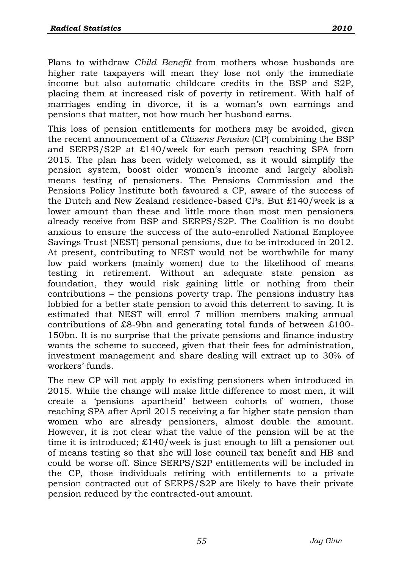Plans to withdraw *Child Benefit* from mothers whose husbands are higher rate taxpayers will mean they lose not only the immediate income but also automatic childcare credits in the BSP and S2P, placing them at increased risk of poverty in retirement. With half of marriages ending in divorce, it is a woman's own earnings and pensions that matter, not how much her husband earns.

This loss of pension entitlements for mothers may be avoided, given the recent announcement of a *Citizens Pension* (CP) combining the BSP and SERPS/S2P at £140/week for each person reaching SPA from 2015. The plan has been widely welcomed, as it would simplify the pension system, boost older women's income and largely abolish means testing of pensioners. The Pensions Commission and the Pensions Policy Institute both favoured a CP, aware of the success of the Dutch and New Zealand residence-based CPs. But £140/week is a lower amount than these and little more than most men pensioners already receive from BSP and SERPS/S2P. The Coalition is no doubt anxious to ensure the success of the auto-enrolled National Employee Savings Trust (NEST) personal pensions, due to be introduced in 2012. At present, contributing to NEST would not be worthwhile for many low paid workers (mainly women) due to the likelihood of means testing in retirement. Without an adequate state pension as foundation, they would risk gaining little or nothing from their contributions – the pensions poverty trap. The pensions industry has lobbied for a better state pension to avoid this deterrent to saving. It is estimated that NEST will enrol 7 million members making annual contributions of £8-9bn and generating total funds of between £100- 150bn. It is no surprise that the private pensions and finance industry wants the scheme to succeed, given that their fees for administration, investment management and share dealing will extract up to 30% of workers' funds.

The new CP will not apply to existing pensioners when introduced in 2015. While the change will make little difference to most men, it will create a "pensions apartheid" between cohorts of women, those reaching SPA after April 2015 receiving a far higher state pension than women who are already pensioners, almost double the amount. However, it is not clear what the value of the pension will be at the time it is introduced; £140/week is just enough to lift a pensioner out of means testing so that she will lose council tax benefit and HB and could be worse off. Since SERPS/S2P entitlements will be included in the CP, those individuals retiring with entitlements to a private pension contracted out of SERPS/S2P are likely to have their private pension reduced by the contracted-out amount.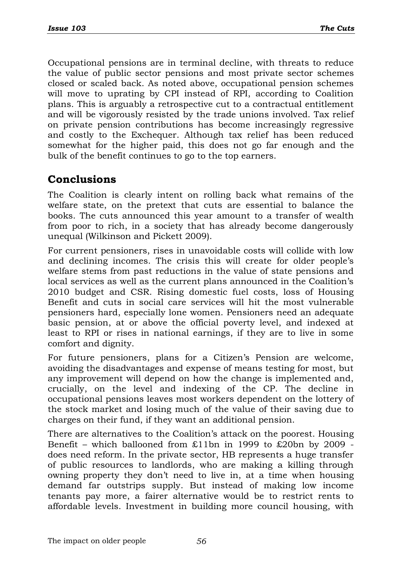Occupational pensions are in terminal decline, with threats to reduce the value of public sector pensions and most private sector schemes closed or scaled back. As noted above, occupational pension schemes will move to uprating by CPI instead of RPI, according to Coalition plans. This is arguably a retrospective cut to a contractual entitlement and will be vigorously resisted by the trade unions involved. Tax relief on private pension contributions has become increasingly regressive and costly to the Exchequer. Although tax relief has been reduced somewhat for the higher paid, this does not go far enough and the bulk of the benefit continues to go to the top earners.

### **Conclusions**

The Coalition is clearly intent on rolling back what remains of the welfare state, on the pretext that cuts are essential to balance the books. The cuts announced this year amount to a transfer of wealth from poor to rich, in a society that has already become dangerously unequal (Wilkinson and Pickett 2009).

For current pensioners, rises in unavoidable costs will collide with low and declining incomes. The crisis this will create for older people"s welfare stems from past reductions in the value of state pensions and local services as well as the current plans announced in the Coalition's 2010 budget and CSR. Rising domestic fuel costs, loss of Housing Benefit and cuts in social care services will hit the most vulnerable pensioners hard, especially lone women. Pensioners need an adequate basic pension, at or above the official poverty level, and indexed at least to RPI or rises in national earnings, if they are to live in some comfort and dignity.

For future pensioners, plans for a Citizen's Pension are welcome, avoiding the disadvantages and expense of means testing for most, but any improvement will depend on how the change is implemented and, crucially, on the level and indexing of the CP. The decline in occupational pensions leaves most workers dependent on the lottery of the stock market and losing much of the value of their saving due to charges on their fund, if they want an additional pension.

There are alternatives to the Coalition's attack on the poorest. Housing Benefit – which ballooned from £11bn in 1999 to £20bn by 2009 does need reform. In the private sector, HB represents a huge transfer of public resources to landlords, who are making a killing through owning property they don't need to live in, at a time when housing demand far outstrips supply. But instead of making low income tenants pay more, a fairer alternative would be to restrict rents to affordable levels. Investment in building more council housing, with